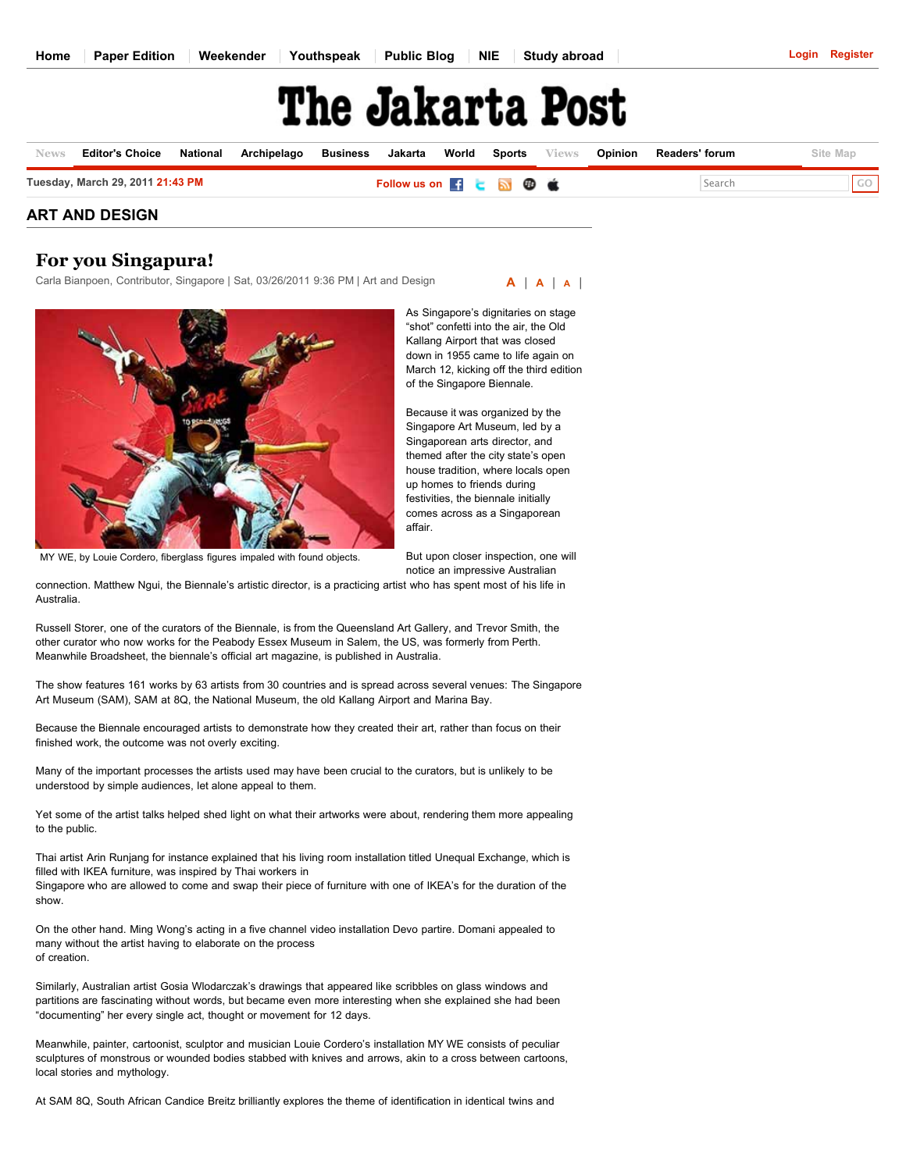## The Jakarta Post

| <b>News</b> | <b>Editor's Choice</b>           | National | Archipelago | Business | Jakarta                   |  | <b>World Sports</b> Views | Opinion | <b>Readers' forum</b> | Site Map    |
|-------------|----------------------------------|----------|-------------|----------|---------------------------|--|---------------------------|---------|-----------------------|-------------|
|             | Tuesday, March 29, 2011 21:43 PM |          |             |          | Follow us on Fig. a B C C |  |                           |         | Search                | $\sqrt{60}$ |

## **ART AND DESIGN**

## **For you Singapura!**

Carla Bianpoen, Contributor, Singapore | Sat, 03/26/2011 9:36 PM | Art and Design



MY WE, by Louie Cordero, fiberglass figures impaled with found objects.

As Singapore's dignitaries on stage "shot" confetti into the air, the Old Kallang Airport that was closed down in 1955 came to life again on March 12, kicking off the third edition of the Singapore Biennale.

**[A](javascript:increaseFontSize();)** | **[A](javascript:normalFontSize();)** | **[A](javascript:decreaseFontSize();)** |

Because it was organized by the Singapore Art Museum, led by a Singaporean arts director, and themed after the city state's open house tradition, where locals open up homes to friends during festivities, the biennale initially comes across as a Singaporean affair.

But upon closer inspection, one will notice an impressive Australian

connection. Matthew Ngui, the Biennale's artistic director, is a practicing artist who has spent most of his life in Australia.

Russell Storer, one of the curators of the Biennale, is from the Queensland Art Gallery, and Trevor Smith, the other curator who now works for the Peabody Essex Museum in Salem, the US, was formerly from Perth. Meanwhile Broadsheet, the biennale's official art magazine, is published in Australia.

The show features 161 works by 63 artists from 30 countries and is spread across several venues: The Singapore Art Museum (SAM), SAM at 8Q, the National Museum, the old Kallang Airport and Marina Bay.

Because the Biennale encouraged artists to demonstrate how they created their art, rather than focus on their finished work, the outcome was not overly exciting.

Many of the important processes the artists used may have been crucial to the curators, but is unlikely to be understood by simple audiences, let alone appeal to them.

Yet some of the artist talks helped shed light on what their artworks were about, rendering them more appealing to the public.

Thai artist Arin Runjang for instance explained that his living room installation titled Unequal Exchange, which is filled with IKEA furniture, was inspired by Thai workers in Singapore who are allowed to come and swap their piece of furniture with one of IKEA's for the duration of the show.

On the other hand. Ming Wong's acting in a five channel video installation Devo partire. Domani appealed to many without the artist having to elaborate on the process of creation.

Similarly, Australian artist Gosia Wlodarczak's drawings that appeared like scribbles on glass windows and partitions are fascinating without words, but became even more interesting when she explained she had been "documenting" her every single act, thought or movement for 12 days.

Meanwhile, painter, cartoonist, sculptor and musician Louie Cordero's installation MY WE consists of peculiar sculptures of monstrous or wounded bodies stabbed with knives and arrows, akin to a cross between cartoons, local stories and mythology.

At SAM 8Q, South African Candice Breitz brilliantly explores the theme of identification in identical twins and